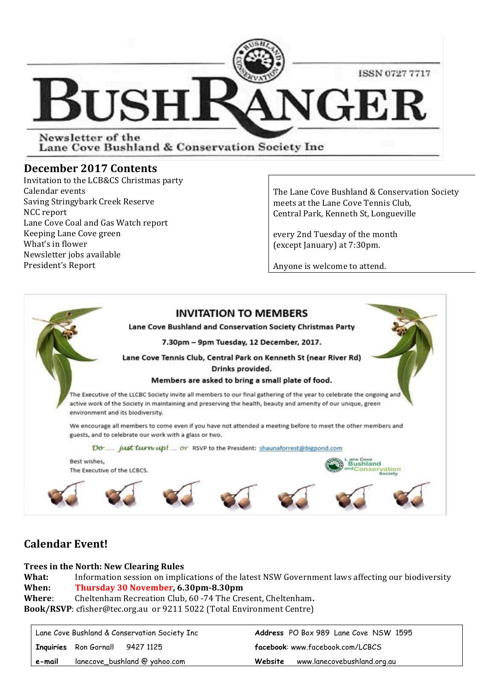

Lane Cove Bushland & Conservation Society Inc

### **December 2017 Contents**

Invitation to the LCB&CS Christmas party Calendar events Saving Stringybark Creek Reserve NCC report Lane Cove Coal and Gas Watch report Keeping Lane Cove green What's in flower Newsletter jobs available President's Report

The Lane Cove Bushland & Conservation Society meets at the Lane Cove Tennis Club, Central Park, Kenneth St, Longueville

every 2nd Tuesday of the month (except January) at 7:30pm.

Anyone is welcome to attend.



## **Calendar Event!**

#### **Trees in the North: New Clearing Rules**

**What:** Information session on implications of the latest NSW Government laws affecting our biodiversity **When: Thursday 30 November, 6.30pm-8.30pm Where:** Cheltenham Recreation Club, 60 -74 The Cresent, Cheltenham. **Book/RSVP**: cfisher@tec.org.au or 9211 5022 (Total Environment Centre)

| Lane Cove Bushland & Conservation Society Inc |                                        | <b>Address</b> PO Box 989 Lane Cove NSW 1595 |
|-----------------------------------------------|----------------------------------------|----------------------------------------------|
|                                               | <b>Inquiries</b> Ron Gornall 9427 1125 | facebook: www.facebook.com/LCBCS             |
| e-mail                                        | lanecove_bushland @ yahoo.com          | www.lanecovebushland.org.au<br>Website       |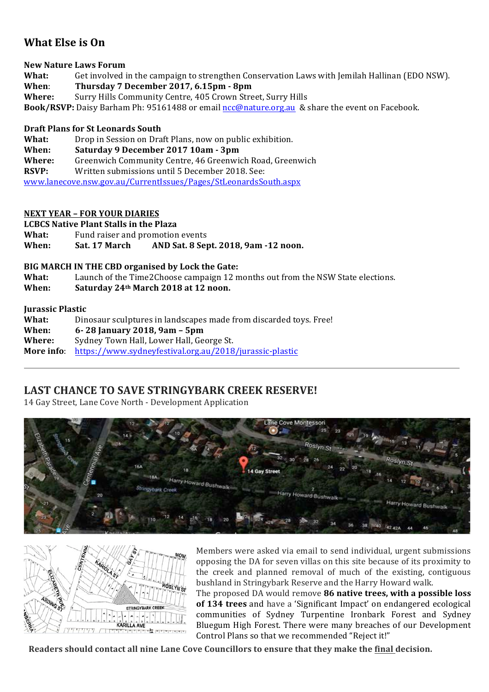## **What Else is On**

**New Nature Laws Forum**

What: Get involved in the campaign to strengthen Conservation Laws with Jemilah Hallinan (EDO NSW). **When**: **Thursday 7 December 2017, 6.15pm - 8pm**

Where: Surry Hills Community Centre, 405 Crown Street, Surry Hills

**Book/RSVP:** Daisy Barham Ph: 95161488 or email ncc@nature.org.au & share the event on Facebook.

#### **Draft Plans for St Leonards South**

**What:** Drop in Session on Draft Plans, now on public exhibition.

- **When: Saturday 9 December 2017 10am - 3pm**
- **Where:** Greenwich Community Centre, 46 Greenwich Road, Greenwich

**RSVP:** Written submissions until 5 December 2018. See:

www.lanecove.nsw.gov.au/CurrentIssues/Pages/StLeonardsSouth.aspx

#### **NEXT YEAR – FOR YOUR DIARIES**

**LCBCS Native Plant Stalls in the Plaza**

**What:** Fund raiser and promotion events

**When: Sat. 17 March AND Sat. 8 Sept. 2018, 9am -12 noon.**

#### **BIG MARCH IN THE CBD organised by Lock the Gate:**

**What:** Launch of the Time2Choose campaign 12 months out from the NSW State elections.

**When: Saturday 24<sup>th</sup> March 2018 at 12 noon.** 

#### **Jurassic Plastic**

| What:      | Dinosaur sculptures in landscapes made from discarded toys. Free! |  |
|------------|-------------------------------------------------------------------|--|
| When:      | 6-28 January 2018, 9am - 5pm                                      |  |
| Where:     | Sydney Town Hall, Lower Hall, George St.                          |  |
| More info: | https://www.sydneyfestival.org.au/2018/jurassic-plastic           |  |

### **LAST CHANCE TO SAVE STRINGYBARK CREEK RESERVE!**

14 Gay Street, Lane Cove North - Development Application





Members were asked via email to send individual, urgent submissions opposing the DA for seven villas on this site because of its proximity to the creek and planned removal of much of the existing, contiguous bushland in Stringybark Reserve and the Harry Howard walk.

The proposed DA would remove 86 native trees, with a possible loss **of 134 trees** and have a 'Significant Impact' on endangered ecological communities of Sydney Turpentine Ironbark Forest and Sydney Bluegum High Forest. There were many breaches of our Development Control Plans so that we recommended "Reject it!"

**Readers should contact all nine Lane Cove Councillors to ensure that they make the final decision.**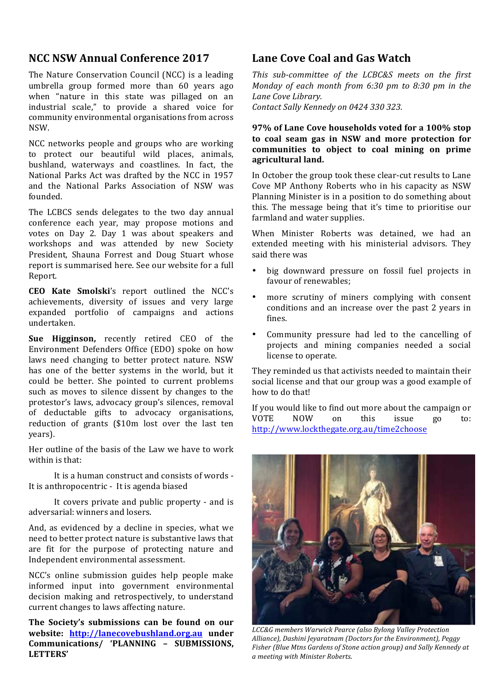## **NCC NSW Annual Conference 2017**

The Nature Conservation Council (NCC) is a leading umbrella group formed more than 60 years ago when "nature in this state was pillaged on an industrial scale," to provide a shared voice for community environmental organisations from across NSW.

NCC networks people and groups who are working to protect our beautiful wild places, animals, bushland, waterways and coastlines. In fact, the National Parks Act was drafted by the NCC in 1957 and the National Parks Association of NSW was founded.

The LCBCS sends delegates to the two day annual conference each year, may propose motions and votes on Day 2. Day 1 was about speakers and workshops and was attended by new Society President, Shauna Forrest and Doug Stuart whose report is summarised here. See our website for a full Report.

**CEO Kate Smolski**'s report outlined the NCC's achievements, diversity of issues and very large expanded portfolio of campaigns and actions undertaken. 

**Sue Higginson,** recently retired CEO of the Environment Defenders Office (EDO) spoke on how laws need changing to better protect nature. NSW has one of the better systems in the world, but it could be better. She pointed to current problems such as moves to silence dissent by changes to the protestor's laws, advocacy group's silences, removal of deductable gifts to advocacy organisations, reduction of grants (\$10m lost over the last ten years).

Her outline of the basis of the Law we have to work within is that.

It is a human construct and consists of words -It is anthropocentric - It is agenda biased

It covers private and public property - and is adversarial: winners and losers.

And, as evidenced by a decline in species, what we need to better protect nature is substantive laws that are fit for the purpose of protecting nature and Independent environmental assessment.

NCC's online submission guides help people make informed input into government environmental decision making and retrospectively, to understand current changes to laws affecting nature.

The Society's submissions can be found on our **website: http://lanecovebushland.org.au under Communications/ 'PLANNING – SUBMISSIONS, LETTERS'** 

## **Lane Cove Coal and Gas Watch**

This sub-committee of the LCBC&S meets on the first *Monday of each month from 6:30 pm to 8:30 pm in the* Lane *Cove* Library.

*Contact Sally Kennedy on 0424 330 323.*

#### **97% of Lane Cove households voted for a 100% stop** to coal seam gas in NSW and more protection for communities to object to coal mining on prime **agricultural land.**

In October the group took these clear-cut results to Lane Cove MP Anthony Roberts who in his capacity as NSW Planning Minister is in a position to do something about this. The message being that it's time to prioritise our farmland and water supplies.

When Minister Roberts was detained, we had an extended meeting with his ministerial advisors. They said there was

- big downward pressure on fossil fuel projects in favour of renewables;
- more scrutiny of miners complying with consent conditions and an increase over the past 2 years in fines.
- Community pressure had led to the cancelling of projects and mining companies needed a social license to operate.

They reminded us that activists needed to maintain their social license and that our group was a good example of how to do that!

If you would like to find out more about the campaign or VOTE NOW on this issue go to: http://www.lockthegate.org.au/time2choose



*LCC&G members Warwick Pearce (also Bylong Valley Protection*  Alliance), Dashini Jeyaratnam (Doctors for the Environment), Peggy Fisher (Blue Mtns Gardens of Stone action group) and Sally Kennedy at *a meeting with Minister Roberts.*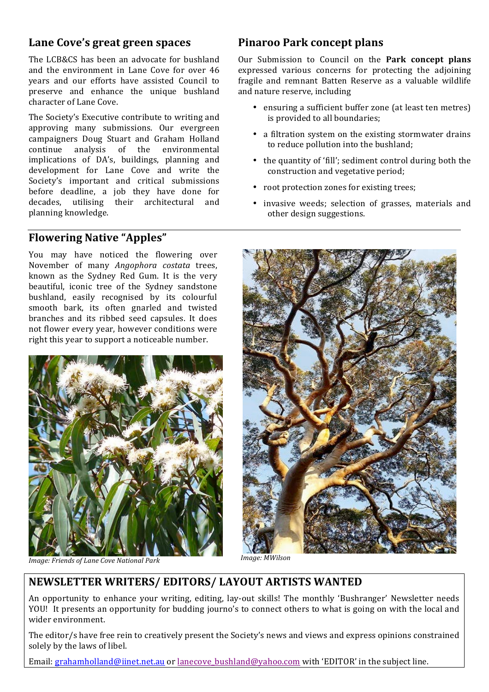### Lane Cove's great green spaces

The LCB&CS has been an advocate for bushland and the environment in Lane Cove for over 46 years and our efforts have assisted Council to preserve and enhance the unique bushland character of Lane Cove.

The Society's Executive contribute to writing and approving many submissions. Our evergreen campaigners Doug Stuart and Graham Holland continue analysis of the environmental implications of DA's, buildings, planning and development for Lane Cove and write the Society's important and critical submissions before deadline, a job they have done for decades, utilising their architectural and planning knowledge.

### **Flowering Native "Apples"**

You may have noticed the flowering over November of many *Angophora costata* trees, known as the Sydney Red Gum. It is the very beautiful, iconic tree of the Sydney sandstone bushland, easily recognised by its colourful smooth bark, its often gnarled and twisted branches and its ribbed seed capsules. It does not flower every year, however conditions were right this year to support a noticeable number.



*Image:* Friends of Lane Cove National Park *Image:* MWilson

## **Pinaroo Park concept plans**

Our Submission to Council on the **Park concept plans** expressed various concerns for protecting the adjoining fragile and remnant Batten Reserve as a valuable wildlife and nature reserve, including

- ensuring a sufficient buffer zone (at least ten metres) is provided to all boundaries;
- a filtration system on the existing stormwater drains to reduce pollution into the bushland;
- the quantity of 'fill'; sediment control during both the construction and vegetative period;
- root protection zones for existing trees;
- invasive weeds; selection of grasses, materials and other design suggestions.



## **NEWSLETTER WRITERS/ EDITORS/ LAYOUT ARTISTS WANTED**

An opportunity to enhance your writing, editing, lay-out skills! The monthly 'Bushranger' Newsletter needs YOU! It presents an opportunity for budding journo's to connect others to what is going on with the local and wider environment.

The editor/s have free rein to creatively present the Society's news and views and express opinions constrained solely by the laws of libel.

Email: grahamholland@iinet.net.au or lanecove bushland@yahoo.com with 'EDITOR' in the subject line.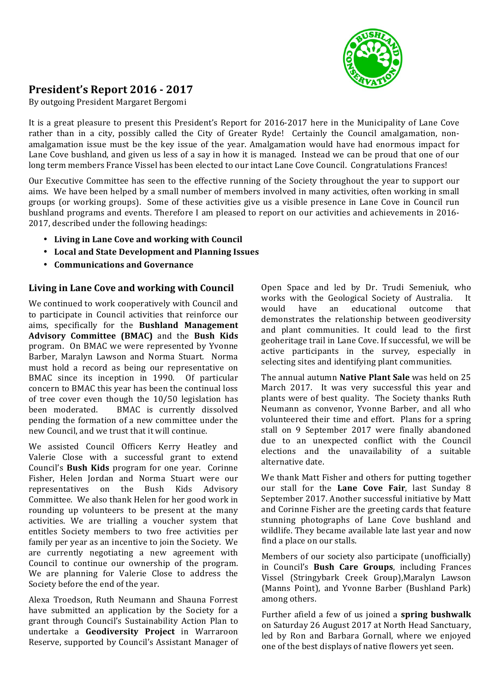

# **President's Report 2016 - 2017**

By outgoing President Margaret Bergomi

It is a great pleasure to present this President's Report for 2016-2017 here in the Municipality of Lane Cove rather than in a city, possibly called the City of Greater Ryde! Certainly the Council amalgamation, nonamalgamation issue must be the key issue of the year. Amalgamation would have had enormous impact for Lane Cove bushland, and given us less of a say in how it is managed. Instead we can be proud that one of our long term members France Vissel has been elected to our intact Lane Cove Council. Congratulations Frances!

Our Executive Committee has seen to the effective running of the Society throughout the year to support our aims. We have been helped by a small number of members involved in many activities, often working in small groups (or working groups). Some of these activities give us a visible presence in Lane Cove in Council run bushland programs and events. Therefore I am pleased to report on our activities and achievements in 2016-2017, described under the following headings:

- Living in Lane Cove and working with Council
- **Local and State Development and Planning Issues**
- **Communications and Governance**

#### Living in Lane Cove and working with Council

We continued to work cooperatively with Council and to participate in Council activities that reinforce our aims, specifically for the **Bushland Management Advisory Committee (BMAC)** and the **Bush Kids** program. On BMAC we were represented by Yvonne Barber, Maralyn Lawson and Norma Stuart. Norma must hold a record as being our representative on BMAC since its inception in 1990. Of particular concern to BMAC this year has been the continual loss of tree cover even though the  $10/50$  legislation has been moderated. BMAC is currently dissolved pending the formation of a new committee under the new Council, and we trust that it will continue.

We assisted Council Officers Kerry Heatley and Valerie Close with a successful grant to extend Council's **Bush Kids** program for one year. Corinne Fisher, Helen Jordan and Norma Stuart were our representatives on the Bush Kids Advisory Committee. We also thank Helen for her good work in rounding up volunteers to be present at the many activities. We are trialling a voucher system that entitles Society members to two free activities per family per year as an incentive to join the Society. We are currently negotiating a new agreement with Council to continue our ownership of the program. We are planning for Valerie Close to address the Society before the end of the year.

Alexa Troedson, Ruth Neumann and Shauna Forrest have submitted an application by the Society for a grant through Council's Sustainability Action Plan to undertake a **Geodiversity Project**  in Warraroon Reserve, supported by Council's Assistant Manager of

Open Space and led by Dr. Trudi Semeniuk, who works with the Geological Society of Australia. It would have an educational outcome that demonstrates the relationship between geodiversity and plant communities. It could lead to the first geoheritage trail in Lane Cove. If successful, we will be active participants in the survey, especially in selecting sites and identifying plant communities.

The annual autumn **Native Plant Sale** was held on 25 March 2017. It was very successful this year and plants were of best quality. The Society thanks Ruth Neumann as convenor, Yvonne Barber, and all who volunteered their time and effort. Plans for a spring stall on 9 September 2017 were finally abandoned due to an unexpected conflict with the Council elections and the unavailability of a suitable alternative date.

We thank Matt Fisher and others for putting together our stall for the Lane Cove Fair, last Sunday 8 September 2017. Another successful initiative by Matt and Corinne Fisher are the greeting cards that feature stunning photographs of Lane Cove bushland and wildlife. They became available late last year and now find a place on our stalls.

Members of our society also participate (unofficially) in Council's **Bush Care Groups**, including Frances Vissel (Stringybark Creek Group),Maralyn Lawson (Manns Point), and Yvonne Barber (Bushland Park) among others.

Further afield a few of us joined a **spring bushwalk** on Saturday 26 August 2017 at North Head Sanctuary, led by Ron and Barbara Gornall, where we enjoyed one of the best displays of native flowers yet seen.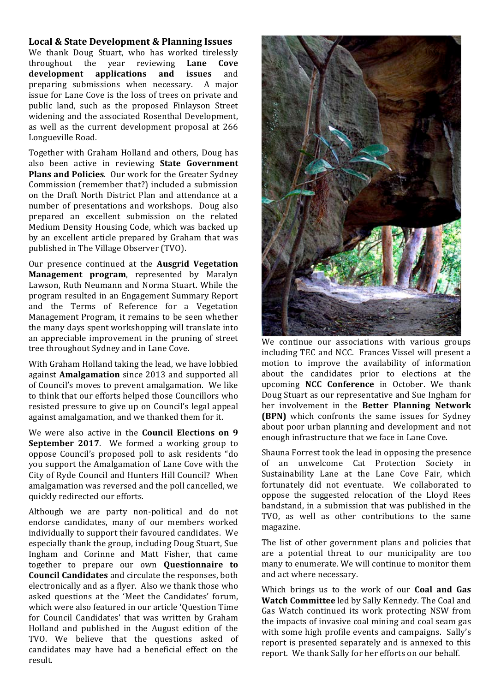#### **Local & State Development & Planning Issues**

We thank Doug Stuart, who has worked tirelessly throughout the year reviewing **Lane Cove development applications and issues** and preparing submissions when necessary. A major issue for Lane Cove is the loss of trees on private and public land, such as the proposed Finlayson Street widening and the associated Rosenthal Development, as well as the current development proposal at 266 Longueville Road.

Together with Graham Holland and others, Doug has also been active in reviewing **State Government Plans and Policies**. Our work for the Greater Sydney Commission (remember that?) included a submission on the Draft North District Plan and attendance at a number of presentations and workshops. Doug also prepared an excellent submission on the related Medium Density Housing Code, which was backed up by an excellent article prepared by Graham that was published in The Village Observer (TVO).

Our presence continued at the **Ausgrid Vegetation Management program**, represented by Maralyn Lawson, Ruth Neumann and Norma Stuart. While the program resulted in an Engagement Summary Report and the Terms of Reference for a Vegetation Management Program, it remains to be seen whether the many days spent workshopping will translate into an appreciable improvement in the pruning of street tree throughout Sydney and in Lane Cove.

With Graham Holland taking the lead, we have lobbied against **Amalgamation** since 2013 and supported all of Council's moves to prevent amalgamation. We like to think that our efforts helped those Councillors who resisted pressure to give up on Council's legal appeal against amalgamation, and we thanked them for it.

We were also active in the **Council Elections on 9 September 2017**. We formed a working group to oppose Council's proposed poll to ask residents "do you support the Amalgamation of Lane Cove with the City of Ryde Council and Hunters Hill Council? When amalgamation was reversed and the poll cancelled, we quickly redirected our efforts.

Although we are party non-political and do not endorse candidates, many of our members worked individually to support their favoured candidates. We especially thank the group, including Doug Stuart, Sue Ingham and Corinne and Matt Fisher, that came together to prepare our own **Questionnaire to Council Candidates** and circulate the responses, both electronically and as a flyer. Also we thank those who asked questions at the 'Meet the Candidates' forum, which were also featured in our article 'Ouestion Time for Council Candidates' that was written by Graham Holland and published in the August edition of the TVO. We believe that the questions asked of candidates may have had a beneficial effect on the result.



We continue our associations with various groups including TEC and NCC. Frances Vissel will present a motion to improve the availability of information about the candidates prior to elections at the upcoming **NCC Conference**  in October. We thank Doug Stuart as our representative and Sue Ingham for her involvement in the **Better Planning Network (BPN)** which confronts the same issues for Sydney about poor urban planning and development and not enough infrastructure that we face in Lane Cove.

Shauna Forrest took the lead in opposing the presence of an unwelcome Cat Protection Society in Sustainability Lane at the Lane Cove Fair, which fortunately did not eventuate. We collaborated to oppose the suggested relocation of the Lloyd Rees bandstand, in a submission that was published in the TVO, as well as other contributions to the same magazine. 

The list of other government plans and policies that are a potential threat to our municipality are too many to enumerate. We will continue to monitor them and act where necessary.

Which brings us to the work of our **Coal and Gas Watch Committee** led by Sally Kennedy. The Coal and Gas Watch continued its work protecting NSW from the impacts of invasive coal mining and coal seam gas with some high profile events and campaigns. Sally's report is presented separately and is annexed to this report. We thank Sally for her efforts on our behalf.